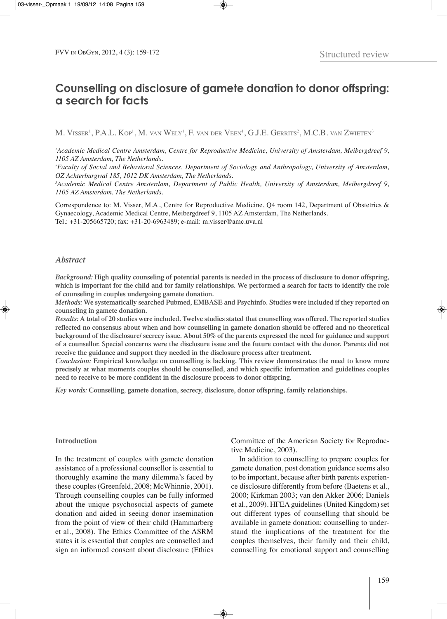# **Counselling on disclosure of gamete donation to donor offspring: a search for facts**

M. Visser<sup>1</sup>, P.A.L. Kop<sup>1</sup>, M. van Wely<sup>1</sup>, F. van der Veen<sup>1</sup>, G.J.E. Gerrits<sup>2</sup>, M.C.B. van Zwieten<sup>3</sup>

*1 Academic Medical Centre Amsterdam, Centre for Reproductive Medicine, University of Amsterdam, Meibergdreef 9, 1105 AZ Amsterdam, The Netherlands.*

*2 Faculty of Social and Behavioral Sciences, Department of Sociology and Anthropology, University of Amsterdam, OZ Achterburgwal 185, 1012 DK Amsterdam, The Netherlands.*

*3 Academic Medical Centre Amsterdam, Department of Public Health, University of Amsterdam, Meibergdreef 9, 1105 AZ Amsterdam, The Netherlands.*

Correspondence to: M. Visser, M.A., Centre for Reproductive Medicine, Q4 room 142, Department of Obstetrics & Gynaecology, Academic Medical Centre, Meibergdreef 9, 1105 AZ Amsterdam, The Netherlands. tel.: +31-205665720; fax: +31-20-6963489; e-mail: m.visser@amc.uva.nl

#### *Abstract*

Background: High quality counseling of potential parents is needed in the process of disclosure to donor offspring, which is important for the child and for family relationships. We performed a search for facts to identify the role **of counseling in couples undergoing gamete donation.**

*Methods:* **We systematically searched Pubmed, EMBASE and Psychinfo. Studies were included if they reported on counseling in gamete donation.**

Results: A total of 20 studies were included. Twelve studies stated that counselling was offered. The reported studies reflected no consensus about when and how counselling in gamete donation should be offered and no theoretical background of the disclosure/ secrecy issue. About 50% of the parents expressed the need for guidance and support of a counsellor. Special concerns were the disclosure issue and the future contact with the donor. Parents did not **receive the guidance and support they needed in the disclosure process after treatment.**

*Conclusion:* **Empirical knowledge on counselling is lacking. This review demonstrates the need to know more precisely at what moments couples should be counselled, and which specific information and guidelines couples need to receive to be more confident in the disclosure process to donor offspring.**

*Key words:* **Counselling, gamete donation, secrecy, disclosure, donor offspring, family relationships.**

#### **Introduction**

In the treatment of couples with gamete donation assistance of a professional counsellor is essential to thoroughly examine the many dilemma's faced by these couples (Greenfeld, 2008; McWhinnie, 2001). Through counselling couples can be fully informed about the unique psychosocial aspects of gamete donation and aided in seeing donor insemination from the point of view of their child (Hammarberg et al., 2008). The Ethics Committee of the ASRM states it is essential that couples are counselled and sign an informed consent about disclosure (Ethics

Committee of the American Society for Reproductive Medicine, 2003).

In addition to counselling to prepare couples for gamete donation, post donation guidance seems also to be important, because after birth parents experience disclosure differently from before (Baetens et al., 2000; Kirkman 2003; van den Akker 2006; Daniels et al., 2009). HFeA guidelines (United Kingdom) set out different types of counselling that should be available in gamete donation: counselling to understand the implications of the treatment for the couples themselves, their family and their child, counselling for emotional support and counselling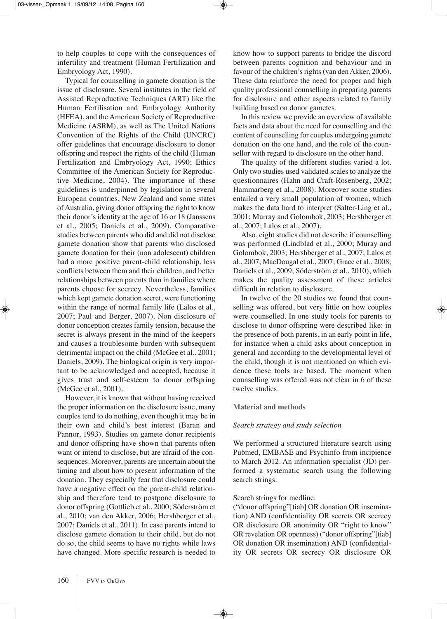to help couples to cope with the consequences of infertility and treatment (Human Fertilization and Embryology Act, 1990).

Typical for counselling in gamete donation is the issue of disclosure. Several institutes in the field of Assisted Reproductive Techniques (ART) like the Human Fertilisation and Embryology Authority (HFEA), and the American Society of Reproductive Medicine (ASRM), as well as The United Nations Convention of the Rights of the Child (UNCRC) offer guidelines that encourage disclosure to donor offspring and respect the rights of the child (Human Fertilization and Embryology Act, 1990; Ethics Committee of the American Society for Reproductive Medicine, 2004). The importance of these guidelines is underpinned by legislation in several European countries, New Zealand and some states of Australia, giving donor offspring the right to know their donor's identity at the age of 16 or 18 (Janssens et al., 2005; Daniels et al., 2009). Comparative studies between parents who did and did not disclose gamete donation show that parents who disclosed gamete donation for their (non adolescent) children had a more positive parent-child relationship, less conflicts between them and their children, and better relationships between parents than in families where parents choose for secrecy. Nevertheless, families which kept gamete donation secret, were functioning within the range of normal family life (Lalos et al., 2007; Paul and Berger, 2007). Non disclosure of donor conception creates family tension, because the secret is always present in the mind of the keepers and causes a troublesome burden with subsequent detrimental impact on the child (McGee et al., 2001; Daniels, 2009). The biological origin is very important to be acknowledged and accepted, because it gives trust and self-esteem to donor offspring (McGee et al., 2001).

However, it is known that without having received the proper information on the disclosure issue, many couples tend to do nothing, even though it may be in their own and child's best interest (baran and Pannor, 1993). Studies on gamete donor recipients and donor offspring have shown that parents often want or intend to disclose, but are afraid of the consequences. Moreover, parents are uncertain about the timing and about how to present information of the donation. They especially fear that disclosure could have a negative effect on the parent-child relationship and therefore tend to postpone disclosure to donor offspring (Gottlieb et al., 2000; Söderström et al., 2010; van den Akker, 2006; Hershberger et al., 2007; Daniels et al., 2011). In case parents intend to disclose gamete donation to their child, but do not do so, the child seems to have no rights while laws have changed. More specific research is needed to know how to support parents to bridge the discord between parents cognition and behaviour and in favour of the children's rights (van den Akker, 2006). These data reinforce the need for proper and high quality professional counselling in preparing parents for disclosure and other aspects related to family building based on donor gametes.

In this review we provide an overview of available facts and data about the need for counselling and the content of counselling for couples undergoing gamete donation on the one hand, and the role of the counsellor with regard to disclosure on the other hand.

The quality of the different studies varied a lot. Only two studies used validated scales to analyze the questionnaires (Hahn and Craft-Rosenberg, 2002; Hammarberg et al., 2008). Moreover some studies entailed a very small population of women, which makes the data hard to interpret (Salter-Ling et al., 2001; Murray and Golombok, 2003; Hershberger et al., 2007; Lalos et al., 2007).

Also, eight studies did not describe if counselling was performed (Lindblad et al., 2000; Muray and Golombok, 2003; Hershberger et al., 2007; Lalos et al., 2007; MacDougal et al., 2007; Grace et al., 2008; Daniels et al., 2009; Söderström et al., 2010), which makes the quality assessment of these articles difficult in relation to disclosure.

In twelve of the 20 studies we found that counselling was offered, but very little on how couples were counselled. in one study tools for parents to disclose to donor offspring were described like: in the presence of both parents, in an early point in life, for instance when a child asks about conception in general and according to the developmental level of the child, though it is not mentioned on which evidence these tools are based. The moment when counselling was offered was not clear in 6 of these twelve studies.

#### **Material and methods**

#### *Search strategy and study selection*

We performed a structured literature search using Pubmed, EMBASE and Psychinfo from incipience to March 2012. An information specialist (JD) performed a systematic search using the following search strings:

#### Search strings for medline:

("donor offspring"[tiab] OR donation OR insemination) AND (confidentiality OR secrets OR secrecy OR disclosure OR anonimity OR "right to know" OR revelation OR openness) ("donor offspring"[tiab] OR donation OR insemination) AND (confidentiality OR secrets OR secrecy OR disclosure OR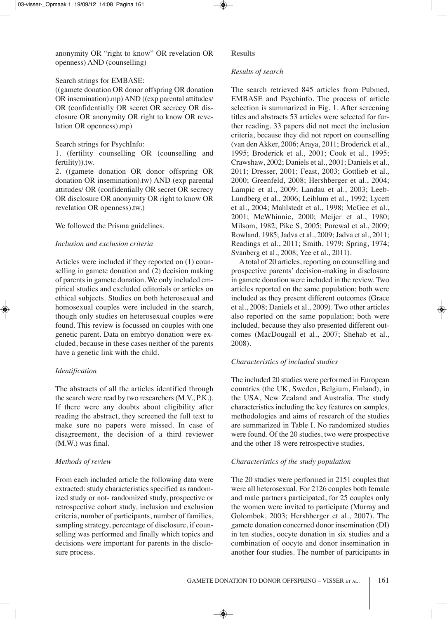anonymity OR "right to know" OR revelation OR openness) AND (counselling)

## Search strings for EMBASE:

((gamete donation OR donor offspring OR donation) OR insemination).mp) AND ((exp parental attitudes/ OR (confidentially OR secret OR secrecy OR disclosure OR anonymity OR right to know OR revelation OR openness).mp)

## Search strings for Psychinfo:

1. (fertility counselling OR (counselling and fertility)).tw.

2. ((gamete donation OR donor offspring OR donation OR insemination).tw) AND (exp parental attitudes/ OR (confidentially OR secret OR secrecy OR disclosure OR anonymity OR right to know OR revelation OR openness).tw.)

We followed the Prisma guidelines.

## *Inclusion and exclusion criteria*

Articles were included if they reported on (1) counselling in gamete donation and (2) decision making of parents in gamete donation. We only included empirical studies and excluded editorials or articles on ethical subjects. Studies on both heterosexual and homosexual couples were included in the search, though only studies on heterosexual couples were found. This review is focussed on couples with one genetic parent. Data on embryo donation were excluded, because in these cases neither of the parents have a genetic link with the child.

## *Identification*

The abstracts of all the articles identified through the search were read by two researchers (M.V., P.K.). If there were any doubts about eligibility after reading the abstract, they screened the full text to make sure no papers were missed. In case of disagreement, the decision of a third reviewer (M.W.) was final.

## *Methods of review*

From each included article the following data were extracted: study characteristics specified as randomized study or not- randomized study, prospective or retrospective cohort study, inclusion and exclusion criteria, number of participants, number of families, sampling strategy, percentage of disclosure, if counselling was performed and finally which topics and decisions were important for parents in the disclosure process.

### **Results**

## *Results of search*

The search retrieved 845 articles from Pubmed, EMBASE and Psychinfo. The process of article selection is summarized in Fig. 1. After screening titles and abstracts 53 articles were selected for further reading. 33 papers did not meet the inclusion criteria, because they did not report on counselling (van den Akker, 2006; Araya, 2011; broderick et al., 1995; broderick et al*.*, 2001; Cook et al*.*, 1995; Crawshaw, 2002; Daniels et al., 2001; Daniels et al., 2011; dresser, 2001; Feast, 2003; Gottlieb et al*.*, 2000; Greenfeld, 2008; Hershberger et al., 2004; Lampic et al*.*, 2009; Landau et al., 2003; Leeb-Lundberg et al*.*, 2006; Leiblum et al*.*, 1992; Lycett et al*.*, 2004; Mahlstedt et al*.*, 1998; McGee et al., 2001; McWhinnie, 2000; Meijer et al*.*, 1980; Milsom, 1982; Pike S, 2005; Purewal et al*.*, 2009; Rowland, 1985; Jadva et al., 2009; Jadva et al., 2011; Readings et al., 2011; Smith, 1979; Spring, 1974; Svanberg et al., 2008; Yee et al., 2011).

A total of 20 articles, reporting on counselling and prospective parents' decision-making in disclosure in gamete donation were included in the review. Two articles reported on the same population; both were included as they present different outcomes (Grace et al., 2008; Daniels et al., 2009). Two other articles also reported on the same population; both were included, because they also presented different outcomes (MacDougall et al., 2007; Shehab et al., 2008).

## *Characteristics of included studies*

The included 20 studies were performed in European countries (the UK, Sweden, Belgium, Finland), in the USA, New Zealand and Australia. The study characteristics including the key features on samples, methodologies and aims of research of the studies are summarized in Table I. No randomized studies were found. Of the 20 studies, two were prospective and the other 18 were retrospective studies.

## *Characteristics of the study population*

The 20 studies were performed in 2151 couples that were all heterosexual. For 2126 couples both female and male partners participated, for 25 couples only the women were invited to participate (Murray and Golombok, 2003; Hershberger et al., 2007). The gamete donation concerned donor insemination (DI) in ten studies, oocyte donation in six studies and a combination of oocyte and donor insemination in another four studies. The number of participants in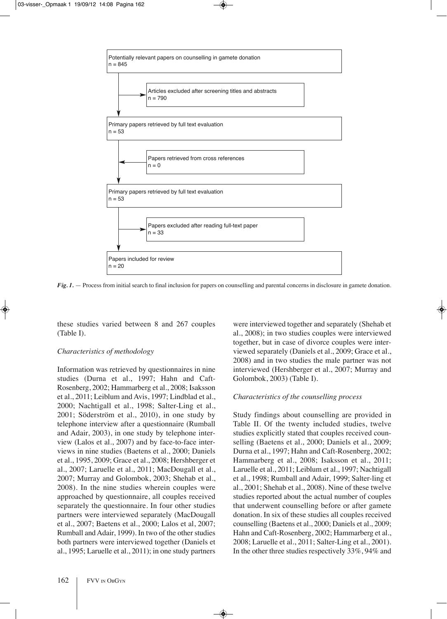

*Fig. 1.* — Process from initial search to final inclusion for papers on counselling and parental concerns in disclosure in gamete donation.

these studies varied between 8 and 267 couples  $(Table I).$ 

### *Characteristics of methodology*

Information was retrieved by questionnaires in nine studies (Durna et al., 1997; Hahn and Caft-Rosenberg, 2002; Hammarberg et al., 2008; Isaksson et al., 2011; Leiblum and Avis, 1997; Lindblad et al., 2000; Nachtigall et al., 1998; Salter-Ling et al., 2001; Söderström et al., 2010), in one study by telephone interview after a questionnaire (Rumball and Adair, 2003), in one study by telephone interview (Lalos et al., 2007) and by face-to-face interviews in nine studies (Baetens et al., 2000; Daniels et al., 1995, 2009; Grace et al., 2008; Hershberger et al., 2007; Laruelle et al., 2011; MacDougall et al., 2007; Murray and Golombok, 2003; Shehab et al., 2008). in the nine studies wherein couples were approached by questionnaire, all couples received separately the questionnaire. In four other studies partners were interviewed separately (MacDougall et al., 2007; baetens et al., 2000; Lalos et al, 2007; Rumball and Adair, 1999). In two of the other studies both partners were interviewed together (Daniels et al., 1995; Laruelle et al., 2011); in one study partners

were interviewed together and separately (Shehab et al., 2008); in two studies couples were interviewed together, but in case of divorce couples were interviewed separately (Daniels et al., 2009; Grace et al., 2008) and in two studies the male partner was not interviewed (Hershberger et al., 2007; Murray and Golombok, 2003) (Table I).

### *Characteristics of the counselling process*

Study findings about counselling are provided in Table II. Of the twenty included studies, twelve studies explicitly stated that couples received counselling (Baetens et al., 2000; Daniels et al., 2009; Durna et al., 1997; Hahn and Caft-Rosenberg, 2002; Hammarberg et al., 2008; Isaksson et al., 2011; Laruelle et al., 2011; Leiblum et al., 1997; Nachtigall et al., 1998; Rumball and Adair, 1999; Salter-ling et al.,  $2001$ ; Shehab et al.,  $2008$ ). Nine of these twelve studies reported about the actual number of couples that underwent counselling before or after gamete donation. In six of these studies all couples received counselling (Baetens et al., 2000; Daniels et al., 2009; Hahn and Caft-Rosenberg, 2002; Hammarberg et al., 2008; Laruelle et al., 2011; Salter-Ling et al., 2001). In the other three studies respectively  $33\%$ ,  $94\%$  and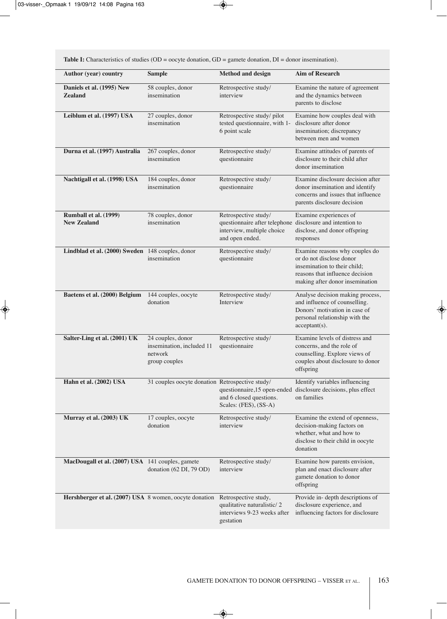**Table I:** Characteristics of studies (OD = oocyte donation, GD = gamete donation, DI = donor insemination).

| Author (year) country                                  | <b>Sample</b>                                                              | <b>Method and design</b>                                                                                                           | <b>Aim of Research</b>                                                                                                                                           |
|--------------------------------------------------------|----------------------------------------------------------------------------|------------------------------------------------------------------------------------------------------------------------------------|------------------------------------------------------------------------------------------------------------------------------------------------------------------|
| Daniels et al. (1995) New<br><b>Zealand</b>            | 58 couples, donor<br>insemination                                          | Retrospective study/<br>interview                                                                                                  | Examine the nature of agreement<br>and the dynamics between<br>parents to disclose                                                                               |
| Leiblum et al. (1997) USA                              | 27 couples, donor<br>insemination                                          | Retrospective study/pilot<br>tested questionnaire, with 1-<br>6 point scale                                                        | Examine how couples deal with<br>disclosure after donor<br>insemination; discrepancy<br>between men and women                                                    |
| Durna et al. (1997) Australia                          | 267 couples, donor<br>insemination                                         | Retrospective study/<br>questionnaire                                                                                              | Examine attitudes of parents of<br>disclosure to their child after<br>donor insemination                                                                         |
| Nachtigall et al. (1998) USA                           | 184 couples, donor<br>insemination                                         | Retrospective study/<br>questionnaire                                                                                              | Examine disclosure decision after<br>donor insemination and identify<br>concerns and issues that influence<br>parents disclosure decision                        |
| Rumball et al. (1999)<br><b>New Zealand</b>            | 78 couples, donor<br>insemination                                          | Retrospective study/<br>questionnaire after telephone disclosure and intention to<br>interview, multiple choice<br>and open ended. | Examine experiences of<br>disclose, and donor offspring<br>responses                                                                                             |
| Lindblad et al. (2000) Sweden 148 couples, donor       | insemination                                                               | Retrospective study/<br>questionnaire                                                                                              | Examine reasons why couples do<br>or do not disclose donor<br>insemination to their child;<br>reasons that influence decision<br>making after donor insemination |
| Baetens et al. (2000) Belgium                          | 144 couples, oocyte<br>donation                                            | Retrospective study/<br>Interview                                                                                                  | Analyse decision making process,<br>and influence of counselling.<br>Donors' motivation in case of<br>personal relationship with the<br>$acceptant(s)$ .         |
| Salter-Ling et al. (2001) UK                           | 24 couples, donor<br>insemination, included 11<br>network<br>group couples | Retrospective study/<br>questionnaire                                                                                              | Examine levels of distress and<br>concerns, and the role of<br>counselling. Explore views of<br>couples about disclosure to donor<br>offspring                   |
| Hahn et al. (2002) USA                                 | 31 couples oocyte donation Retrospective study/                            | questionnaire,15 open-ended<br>and 6 closed questions.<br>Scales: (FES), (SS-A)                                                    | Identify variables influencing<br>disclosure decisions, plus effect<br>on families                                                                               |
| Murray et al. (2003) UK                                | 17 couples, oocyte<br>donation                                             | Retrospective study/<br>interview                                                                                                  | Examine the extend of openness,<br>decision-making factors on<br>whether, what and how to<br>disclose to their child in oocyte<br>donation                       |
| MacDougall et al. (2007) USA 141 couples, gamete       | donation (62 DI, 79 OD)                                                    | Retrospective study/<br>interview                                                                                                  | Examine how parents envision,<br>plan and enact disclosure after<br>gamete donation to donor<br>offspring                                                        |
| Hershberger et al. (2007) USA 8 women, oocyte donation |                                                                            | Retrospective study,<br>qualitative naturalistic/2<br>interviews 9-23 weeks after<br>gestation                                     | Provide in- depth descriptions of<br>disclosure experience, and<br>influencing factors for disclosure                                                            |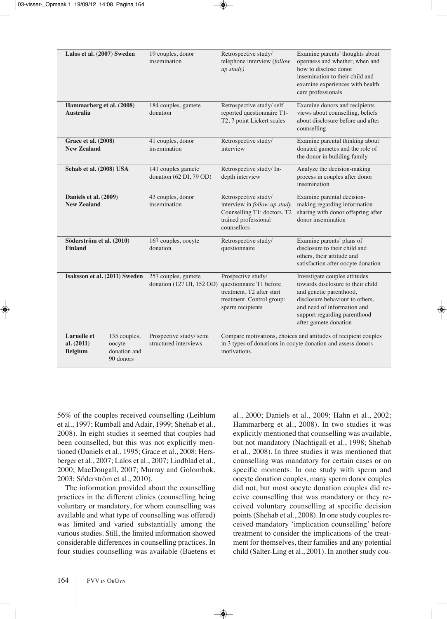| Lalos et al. (2007) Sweden                                                                                | 19 couples, donor<br>insemination                | Retrospective study/<br>telephone interview (follow<br>$up$ study)                                                          | Examine parents' thoughts about<br>openness and whether, when and<br>how to disclose donor<br>insemination to their child and<br>examine experiences with health<br>care professionals                                   |
|-----------------------------------------------------------------------------------------------------------|--------------------------------------------------|-----------------------------------------------------------------------------------------------------------------------------|--------------------------------------------------------------------------------------------------------------------------------------------------------------------------------------------------------------------------|
| Hammarberg et al. (2008)<br><b>Australia</b>                                                              | 184 couples, gamete<br>donation                  | Retrospective study/self<br>reported questionnaire T1-<br>T2, 7 point Lickert scales                                        | Examine donors and recipients<br>views about counselling, beliefs<br>about disclosure before and after<br>counselling                                                                                                    |
| <b>Grace et al. (2008)</b><br><b>New Zealand</b>                                                          | 41 couples, donor<br>insemination                | Retrospective study/<br>interview                                                                                           | Examine parental thinking about<br>donated gametes and the role of<br>the donor in building family                                                                                                                       |
| Sehab et al. (2008) USA                                                                                   | 141 couples gamete<br>donation (62 DI, 79 OD)    | Retrospective study/In-<br>depth interview                                                                                  | Analyze the decision-making<br>process in couples after donor<br>insemination                                                                                                                                            |
| Daniels et al. (2009)<br><b>New Zealand</b>                                                               | 43 couples, donor<br>insemination                | Retrospective study/<br>interview in follow up study.<br>Counselling T1: doctors, T2<br>trained professional<br>counsellors | Examine parental decision-<br>making regarding information<br>sharing with donor offspring after<br>donor insemination                                                                                                   |
| Söderström et al. (2010)<br><b>Finland</b>                                                                | 167 couples, oocyte<br>donation                  | Retrospective study/<br>questionnaire                                                                                       | Examine parents' plans of<br>disclosure to their child and<br>others, their attitude and<br>satisfaction after oocyte donation                                                                                           |
| Isaksson et al. (2011) Sweden                                                                             | 257 couples, gamete<br>donation (127 DI, 152 OD) | Prospective study/<br>questionnaire T1 before<br>treatment, T2 after start<br>treatment. Control group:<br>sperm recipients | Investigate couples attitudes<br>towards disclosure to their child<br>and genetic parenthood,<br>disclosure behaviour to others,<br>and need of information and<br>support regarding parenthood<br>after gamete donation |
| <b>Laruelle</b> et<br>135 couples,<br>al. (2011)<br>oocyte<br>donation and<br><b>Belgium</b><br>90 donors | Prospective study/semi<br>structured interviews  | motivations.                                                                                                                | Compare motivations, choices and attitudes of recipient couples<br>in 3 types of donations in oocyte donation and assess donors                                                                                          |

56% of the couples received counselling (Leiblum et al., 1997; Rumball and Adair, 1999; Shehab et al., 2008). in eight studies it seemed that couples had been counselled, but this was not explicitly mentioned (Daniels et al., 1995; Grace et al., 2008; Hersberger et al., 2007; Lalos et al., 2007; Lindblad et al., 2000; MacDougall, 2007; Murray and Golombok, 2003; Söderström et al., 2010).

The information provided about the counselling practices in the different clinics (counselling being voluntary or mandatory, for whom counselling was available and what type of counselling was offered) was limited and varied substantially among the various studies. Still, the limited information showed considerable differences in counselling practices. in four studies counselling was available (Baetens et al., 2000; daniels et al., 2009; Hahn et al., 2002; Hammarberg et al., 2008). in two studies it was explicitly mentioned that counselling was available, but not mandatory (Nachtigall et al., 1998; Shehab et al., 2008). in three studies it was mentioned that counselling was mandatory for certain cases or on specific moments. in one study with sperm and oocyte donation couples, many sperm donor couples did not, but most oocyte donation couples did receive counselling that was mandatory or they received voluntary counselling at specific decision points (Shehab et al., 2008). In one study couples received mandatory 'implication counselling' before treatment to consider the implications of the treatment for themselves, their families and any potential child (Salter-Ling et al., 2001). In another study cou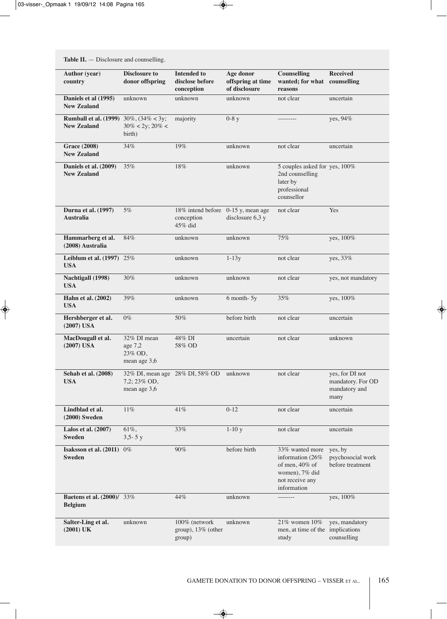**Table II.** - Disclosure and counselling.

| <b>Author</b> (year)<br>country                                    | <b>Disclosure to</b><br>donor offspring                         | <b>Intended to</b><br>disclose before<br>conception         | Age donor<br>offspring at time<br>of disclosure | <b>Counselling</b><br>wanted; for what counselling<br>reasons                                                | <b>Received</b>                                               |
|--------------------------------------------------------------------|-----------------------------------------------------------------|-------------------------------------------------------------|-------------------------------------------------|--------------------------------------------------------------------------------------------------------------|---------------------------------------------------------------|
| Daniels et al (1995)<br><b>New Zealand</b>                         | unknown                                                         | unknown                                                     | unknown                                         | not clear                                                                                                    | uncertain                                                     |
| <b>Rumball et al. (1999)</b> 30%, (34% < 3y;<br><b>New Zealand</b> | $30\% < 2y$ ; $20\% <$<br>birth)                                | majority                                                    | $0-8y$                                          |                                                                                                              | yes, 94%                                                      |
| <b>Grace (2008)</b><br><b>New Zealand</b>                          | 34%                                                             | 19%                                                         | unknown                                         | not clear                                                                                                    | uncertain                                                     |
| Daniels et al. (2009)<br><b>New Zealand</b>                        | 35%                                                             | 18%                                                         | unknown                                         | 5 couples asked for yes, 100%<br>2nd counselling<br>later by<br>professional<br>counsellor                   |                                                               |
| Durna et al. (1997)<br><b>Australia</b>                            | 5%                                                              | 18% intend before 0-15 y, mean age<br>conception<br>45% did | disclosure $6,3$ y                              | not clear                                                                                                    | Yes                                                           |
| Hammarberg et al.<br>(2008) Australia                              | 84%                                                             | unknown                                                     | unknown                                         | 75%                                                                                                          | yes, 100%                                                     |
| Leiblum et al. (1997) 25%<br><b>USA</b>                            |                                                                 | unknown                                                     | $1-13y$                                         | not clear                                                                                                    | yes, 33%                                                      |
| Nachtigall (1998)<br><b>USA</b>                                    | 30%                                                             | unknown                                                     | unknown                                         | not clear                                                                                                    | yes, not mandatory                                            |
| Hahn et al. (2002)<br><b>USA</b>                                   | 39%                                                             | unknown                                                     | 6 month-5y                                      | 35%                                                                                                          | yes, 100%                                                     |
| Hershberger et al.<br>$(2007)$ USA                                 | $0\%$                                                           | 50%                                                         | before birth                                    | not clear                                                                                                    | uncertain                                                     |
| MacDougall et al.<br>$(2007)$ USA                                  | 32% DI mean<br>age 7,2<br>23% OD,<br>mean age 3,6               | 48% DI<br>58% OD                                            | uncertain                                       | not clear                                                                                                    | unknown                                                       |
| Sehab et al. (2008)<br><b>USA</b>                                  | 32% DI, mean age 28% DI, 58% OD<br>7,2; 23% OD,<br>mean age 3,6 |                                                             | unknown                                         | not clear                                                                                                    | yes, for DI not<br>mandatory. For OD<br>mandatory and<br>many |
| Lindblad et al.<br>$(2000)$ Sweden                                 | $11\%$                                                          | 41%                                                         | $0-12$                                          | not clear                                                                                                    | uncertain                                                     |
| Lalos et al. (2007)<br><b>Sweden</b>                               | 61%,<br>$3,5 - 5y$                                              | 33%                                                         | $1-10y$                                         | not clear                                                                                                    | uncertain                                                     |
| Isaksson et al. (2011)<br><b>Sweden</b>                            | $0\%$                                                           | 90%                                                         | before birth                                    | 33% wanted more<br>information (26%<br>of men, $40\%$ of<br>women), 7% did<br>not receive any<br>information | yes, by<br>psychosocial work<br>before treatment              |
| <b>Baetens et al. (2000)/</b> 33%<br><b>Belgium</b>                |                                                                 | 44%                                                         | unknown                                         |                                                                                                              | yes, 100%                                                     |
| Salter-Ling et al.<br>$(2001)$ UK                                  | unknown                                                         | 100% (network<br>group), 13% (other<br>group)               | unknown                                         | 21% women 10%<br>men, at time of the implications<br>study                                                   | yes, mandatory<br>counselling                                 |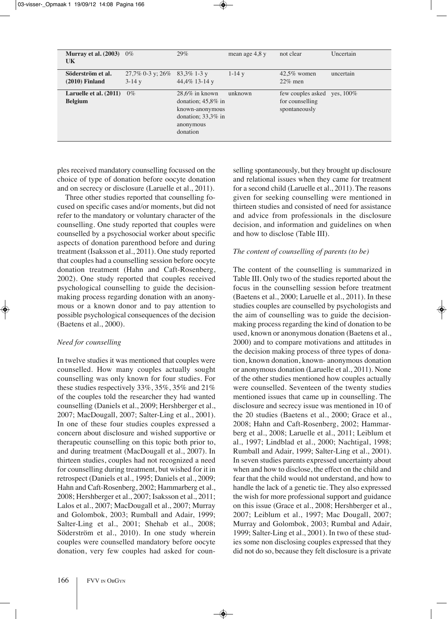| Murray et al. $(2003)$<br>UK             | $0\%$                             | 29%                                                                                                             | mean age $4.8 y$ | not clear                                             | Uncertain    |
|------------------------------------------|-----------------------------------|-----------------------------------------------------------------------------------------------------------------|------------------|-------------------------------------------------------|--------------|
| Söderström et al.<br>$(2010)$ Finland    | $27,7\%$ 0-3 y; $26\%$<br>$3-14y$ | $83,3\%$ 1-3 y<br>44,4% 13-14 y                                                                                 | $1 - 14y$        | $42.5\%$ women<br>$22\%$ men                          | uncertain    |
| Laruelle et al. (2011)<br><b>Belgium</b> | $0\%$                             | $28,6\%$ in known<br>donation; $45.8\%$ in<br>known-anonymous<br>donation; $33.3\%$ in<br>anonymous<br>donation | unknown          | few couples asked<br>for counselling<br>spontaneously | ves, $100\%$ |

ples received mandatory counselling focussed on the choice of type of donation before oocyte donation and on secrecy or disclosure (Laruelle et al., 2011).

Three other studies reported that counselling focused on specific cases and/or moments, but did not refer to the mandatory or voluntary character of the counselling. One study reported that couples were counselled by a psychosocial worker about specific aspects of donation parenthood before and during treatment (Isaksson et al., 2011). One study reported that couples had a counselling session before oocyte donation treatment (Hahn and Caft-Rosenberg, 2002). One study reported that couples received psychological counselling to guide the decisionmaking process regarding donation with an anonymous or a known donor and to pay attention to possible psychological consequences of the decision (baetens et al., 2000).

### *Need for counselling*

In twelve studies it was mentioned that couples were counselled. How many couples actually sought counselling was only known for four studies. For these studies respectively 33%, 35%, 35% and 21% of the couples told the researcher they had wanted counselling (Daniels et al., 2009; Hershberger et al., 2007; MacDougall, 2007; Salter-Ling et al., 2001). In one of these four studies couples expressed a concern about disclosure and wished supportive or therapeutic counselling on this topic both prior to, and during treatment (MacDougall et al., 2007). In thirteen studies, couples had not recognized a need for counselling during treatment, but wished for it in retrospect (Daniels et al., 1995; Daniels et al., 2009; Hahn and Caft-Rosenberg, 2002; Hammarberg et al., 2008; Hershberger et al., 2007; Isaksson et al., 2011; Lalos et al., 2007; MacDougall et al., 2007; Murray and Golombok, 2003; Rumball and Adair, 1999; Salter-Ling et al., 2001; Shehab et al., 2008; Söderström et al., 2010). in one study wherein couples were counselled mandatory before oocyte donation, very few couples had asked for counselling spontaneously, but they brought up disclosure and relational issues when they came for treatment for a second child (Laruelle et al., 2011). The reasons given for seeking counselling were mentioned in thirteen studies and consisted of need for assistance and advice from professionals in the disclosure decision, and information and guidelines on when and how to disclose (Table III).

### *The content of counselling of parents (to be)*

The content of the counselling is summarized in Table III. Only two of the studies reported about the focus in the counselling session before treatment (Baetens et al., 2000; Laruelle et al., 2011). In these studies couples are counselled by psychologists and the aim of counselling was to guide the decisionmaking process regarding the kind of donation to be used, known or anonymous donation (Baetens et al., 2000) and to compare motivations and attitudes in the decision making process of three types of donation, known donation, known- anonymous donation or anonymous donation (Laruelle et al., 2011). None of the other studies mentioned how couples actually were counselled. Seventeen of the twenty studies mentioned issues that came up in counselling. The disclosure and secrecy issue was mentioned in 10 of the 20 studies (Baetens et al., 2000; Grace et al., 2008; Hahn and Caft-Rosenberg, 2002; Hammarberg et al., 2008; Laruelle et al., 2011; Leiblum et al., 1997; Lindblad et al., 2000; Nachtigal, 1998; Rumball and Adair, 1999; Salter-Ling et al., 2001). In seven studies parents expressed uncertainty about when and how to disclose, the effect on the child and fear that the child would not understand, and how to handle the lack of a genetic tie. They also expressed the wish for more professional support and guidance on this issue (Grace et al., 2008; Hershberger et al., 2007; Leiblum et al., 1997; Mac Dougall, 2007; Murray and Golombok, 2003; Rumbal and Adair, 1999; Salter-Ling et al., 2001). In two of these studies some non disclosing couples expressed that they did not do so, because they felt disclosure is a private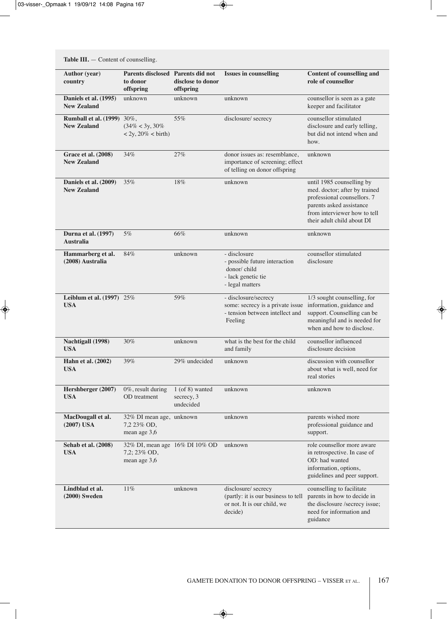| Table III. - Content of counselling.                    |                                                                   |                                              |                                                                                                        |                                                                                                                                                                                     |  |  |
|---------------------------------------------------------|-------------------------------------------------------------------|----------------------------------------------|--------------------------------------------------------------------------------------------------------|-------------------------------------------------------------------------------------------------------------------------------------------------------------------------------------|--|--|
| <b>Author</b> (year)<br>country                         | <b>Parents disclosed Parents did not</b><br>to donor<br>offspring | disclose to donor<br>offspring               | <b>Issues in counselling</b>                                                                           | <b>Content of counselling and</b><br>role of counsellor                                                                                                                             |  |  |
| Daniels et al. (1995)<br><b>New Zealand</b>             | unknown                                                           | unknown                                      | unknown                                                                                                | counsellor is seen as a gate<br>keeper and facilitator                                                                                                                              |  |  |
| <b>Rumball et al. (1999)</b> 30%,<br><b>New Zealand</b> | $(34\% < 3y, 30\%$<br>$< 2y, 20\% < \text{birth}$ )               | 55%                                          | disclosure/ secrecy                                                                                    | counsellor stimulated<br>disclosure and early telling,<br>but did not intend when and<br>how.                                                                                       |  |  |
| <b>Grace et al. (2008)</b><br><b>New Zealand</b>        | 34%                                                               | 27%                                          | donor issues as: resemblance,<br>importance of screening; effect<br>of telling on donor offspring      | unknown                                                                                                                                                                             |  |  |
| Daniels et al. (2009)<br><b>New Zealand</b>             | 35%                                                               | 18%                                          | unknown                                                                                                | until 1985 counselling by<br>med. doctor; after by trained<br>professional counsellors. 7<br>parents asked assistance<br>from interviewer how to tell<br>their adult child about DI |  |  |
| <b>Durna et al.</b> (1997)<br><b>Australia</b>          | 5%                                                                | 66%                                          | unknown                                                                                                | unknown                                                                                                                                                                             |  |  |
| Hammarberg et al.<br>(2008) Australia                   | 84%                                                               | unknown                                      | - disclosure<br>- possible future interaction<br>donor/child<br>- lack genetic tie<br>- legal matters  | counsellor stimulated<br>disclosure                                                                                                                                                 |  |  |
| Leiblum et al. (1997) 25%<br><b>USA</b>                 |                                                                   | 59%                                          | - disclosure/secrecy<br>some: secrecy is a private issue<br>- tension between intellect and<br>Feeling | 1/3 sought counselling, for<br>information, guidance and<br>support. Counselling can be<br>meaningful and is needed for<br>when and how to disclose.                                |  |  |
| <b>Nachtigall</b> (1998)<br><b>USA</b>                  | 30%                                                               | unknown                                      | what is the best for the child<br>and family                                                           | counsellor influenced<br>disclosure decision                                                                                                                                        |  |  |
| Hahn et al. (2002)<br><b>USA</b>                        | 39%                                                               | 29% undecided                                | unknown                                                                                                | discussion with counsellor<br>about what is well, need for<br>real stories                                                                                                          |  |  |
| Hershberger (2007)<br><b>USA</b>                        | $0\%$ , result during<br>OD treatment                             | $1$ (of 8) wanted<br>secrecy, 3<br>undecided | unknown                                                                                                | unknown                                                                                                                                                                             |  |  |
| MacDougall et al.<br>$(2007)$ USA                       | 32% DI mean age, unknown<br>7,2 23% OD,<br>mean age 3,6           |                                              | unknown                                                                                                | parents wished more<br>professional guidance and<br>support.                                                                                                                        |  |  |
| Sehab et al. (2008)<br><b>USA</b>                       | 32% DI, mean age 16% DI 10% OD<br>7,2; 23% OD,<br>mean age 3,6    |                                              | unknown                                                                                                | role counsellor more aware<br>in retrospective. In case of<br>OD: had wanted<br>information, options,<br>guidelines and peer support.                                               |  |  |
| Lindblad et al.<br>$(2000)$ Sweden                      | $11\%$                                                            | unknown                                      | disclosure/ secrecy<br>(partly: it is our business to tell<br>or not. It is our child, we<br>decide)   | counselling to facilitate<br>parents in how to decide in<br>the disclosure /secrecy issue;<br>need for information and<br>guidance                                                  |  |  |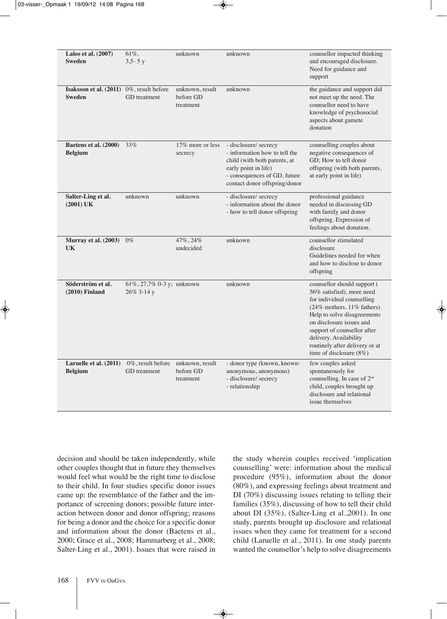| Lalos et al. $(2007)$<br><b>Sweden</b>                             | $61\%$ ,<br>$3,5 - 5y$                       | unknown                                   | unknown                                                                                                                                                                         | counsellor impacted thinking<br>and encouraged disclosure.<br>Need for guidance and<br>support                                                                                                                                                                                                            |
|--------------------------------------------------------------------|----------------------------------------------|-------------------------------------------|---------------------------------------------------------------------------------------------------------------------------------------------------------------------------------|-----------------------------------------------------------------------------------------------------------------------------------------------------------------------------------------------------------------------------------------------------------------------------------------------------------|
| <b>Isaksson et al.</b> $(2011)$ 0%, result before<br><b>Sweden</b> | <b>GD</b> treatment                          | unknown, result<br>before GD<br>treatment | unknown                                                                                                                                                                         | the guidance and support did<br>not meet up the need. The<br>counsellor need to have<br>knowledge of psychosocial<br>aspects about gamete<br>donation                                                                                                                                                     |
| Baetens et al. (2000)<br><b>Belgium</b>                            | 33%                                          | 17% more or less<br>secrecy               | - disclosure/ secrecy<br>- information how to tell the<br>child (with both parents, at<br>early point in life)<br>- consequences of GD, future<br>contact donor offspring/donor | counselling couples about<br>negative consequences of<br>GD; How to tell donor<br>offspring (with both parents,<br>at early point in life)                                                                                                                                                                |
| Salter-Ling et al.<br>$(2001)$ UK                                  | unknown                                      | unknown                                   | - disclosure/ secrecy<br>- information about the donor<br>- how to tell donor offspring                                                                                         | professional guidance<br>needed in discussing GD<br>with family and donor<br>offspring. Expression of<br>feelings about donation.                                                                                                                                                                         |
| <b>Murray et al. (2003)</b> 0%<br><b>UK</b>                        |                                              | 47%, 24%<br>undecided                     | unknown                                                                                                                                                                         | counsellor stimulated<br>disclosure<br>Guidelines needed for when<br>and how to disclose to donor<br>offspring                                                                                                                                                                                            |
| Söderström et al.<br>$(2010)$ Finland                              | 61%, 27,7% 0-3 y; unknown<br>26% 3-14 y      |                                           | unknown                                                                                                                                                                         | counsellor should support (<br>56% satisfied), more need<br>for individual counselling<br>(24% mothers, 11% fathers).<br>Help to solve disagreements<br>on disclosure issues and<br>support of counsellor after<br>delivery. Availability<br>routinely after delivery or at<br>time of disclosure $(8\%)$ |
| Laruelle et al. (2011)<br><b>Belgium</b>                           | $0\%$ , result before<br><b>GD</b> treatment | unknown, result<br>before GD<br>treatment | - donor type (known, known-<br>anonymous, anonymous)<br>- disclosure/ secrecy<br>- relationship                                                                                 | few couples asked<br>spontaneously for<br>counselling. In case of 2 <sup>nd</sup><br>child, couples brought up<br>disclosure and relational<br>issue themselves                                                                                                                                           |

decision and should be taken independently, while other couples thought that in future they themselves would feel what would be the right time to disclose to their child. in four studies specific donor issues came up: the resemblance of the father and the importance of screening donors; possible future interaction between donor and donor offspring; reasons for being a donor and the choice for a specific donor and information about the donor (Baetens et al., 2000; Grace et al., 2008; Hammarberg et al., 2008; Salter-Ling et al., 2001). Issues that were raised in the study wherein couples received 'implication counselling' were: information about the medical procedure (95%), information about the donor (80%), and expressing feelings about treatment and DI (70%) discussing issues relating to telling their families (35%), discussing of how to tell their child about DI  $(35\%)$ , (Salter-Ling et al., 2001). In one study, parents brought up disclosure and relational issues when they came for treatment for a second child (Laruelle et al., 2011). In one study parents wanted the counsellor's help to solve disagreements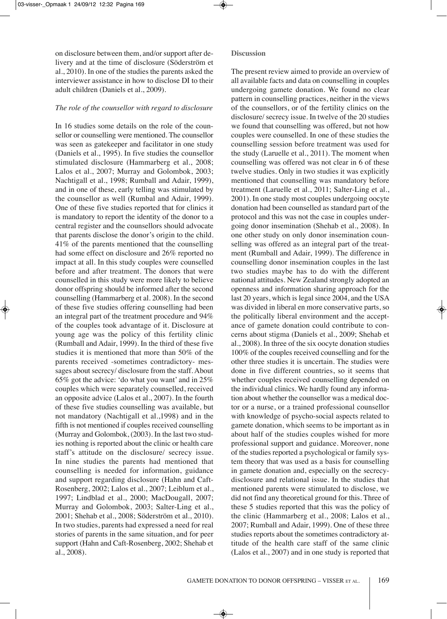on disclosure between them, and/or support after delivery and at the time of disclosure (Söderström et al., 2010). In one of the studies the parents asked the interviewer assistance in how to disclose DI to their adult children (Daniels et al., 2009).

#### *The role of the counsellor with regard to disclosure*

In 16 studies some details on the role of the counsellor or counselling were mentioned. The counsellor was seen as gatekeeper and facilitator in one study (Daniels et al., 1995). In five studies the counsellor stimulated disclosure (Hammarberg et al., 2008; Lalos et al., 2007; Murray and Golombok, 2003; Nachtigall et al., 1998; Rumball and Adair, 1999), and in one of these, early telling was stimulated by the counsellor as well (Rumbal and Adair, 1999). One of these five studies reported that for clinics it is mandatory to report the identity of the donor to a central register and the counsellors should advocate that parents disclose the donor's origin to the child. 41% of the parents mentioned that the counselling had some effect on disclosure and 26% reported no impact at all. In this study couples were counselled before and after treatment. The donors that were counselled in this study were more likely to believe donor offspring should be informed after the second counselling (Hammarberg et al. 2008). In the second of these five studies offering counselling had been an integral part of the treatment procedure and 94% of the couples took advantage of it. Disclosure at young age was the policy of this fertility clinic (Rumball and Adair, 1999). In the third of these five studies it is mentioned that more than 50% of the parents received -sometimes contradictory- messages about secrecy/ disclosure from the staff. About 65% got the advice: 'do what you want' and in 25% couples which were separately counselled, received an opposite advice (Lalos et al., 2007). In the fourth of these five studies counselling was available, but not mandatory (Nachtigall et al.,1998) and in the fifth is not mentioned if couples received counselling (Murray and Golombok, (2003). In the last two studies nothing is reported about the clinic or health care staff's attitude on the disclosure/ secrecy issue. In nine studies the parents had mentioned that counselling is needed for information, guidance and support regarding disclosure (Hahn and Caft-Rosenberg, 2002; Lalos et al., 2007; Leiblum et al., 1997; Lindblad et al., 2000; MacDougall, 2007; Murray and Golombok, 2003; Salter-Ling et al., 2001; Shehab et al., 2008; Söderström et al., 2010). In two studies, parents had expressed a need for real stories of parents in the same situation, and for peer support (Hahn and Caft-Rosenberg, 2002; Shehab et al., 2008).

#### **Discussion**

The present review aimed to provide an overview of all available facts and data on counselling in couples undergoing gamete donation. We found no clear pattern in counselling practices, neither in the views of the counsellors, or of the fertility clinics on the disclosure/ secrecy issue. In twelve of the 20 studies we found that counselling was offered, but not how couples were counselled. In one of these studies the counselling session before treatment was used for the study (Laruelle et al., 2011). The moment when counselling was offered was not clear in 6 of these twelve studies. Only in two studies it was explicitly mentioned that counselling was mandatory before treatment (Laruelle et al., 2011; Salter-Ling et al., 2001). In one study most couples undergoing oocyte donation had been counselled as standard part of the protocol and this was not the case in couples undergoing donor insemination (Shehab et al., 2008). In one other study on only donor insemination counselling was offered as an integral part of the treatment (Rumball and Adair, 1999). The difference in counselling donor insemination couples in the last two studies maybe has to do with the different national attitudes. New Zealand strongly adopted an openness and information sharing approach for the last 20 years, which is legal since 2004, and the USA was divided in liberal en more conservative parts, so the politically liberal environment and the acceptance of gamete donation could contribute to concerns about stigma (Daniels et al., 2009; Shehab et al., 2008). In three of the six oocyte donation studies 100% of the couples received counselling and for the other three studies it is uncertain. The studies were done in five different countries, so it seems that whether couples received counselling depended on the individual clinics. We hardly found any information about whether the counsellor was a medical doctor or a nurse, or a trained professional counsellor with knowledge of psycho-social aspects related to gamete donation, which seems to be important as in about half of the studies couples wished for more professional support and guidance. Moreover, none of the studies reported a psychological or family system theory that was used as a basis for counselling in gamete donation and, especially on the secrecydisclosure and relational issue. In the studies that mentioned parents were stimulated to disclose, we did not find any theoretical ground for this. Three of these 5 studies reported that this was the policy of the clinic (Hammarberg et al., 2008; Lalos et al., 2007; Rumball and Adair, 1999). One of these three studies reports about the sometimes contradictory attitude of the health care staff of the same clinic (Lalos et al., 2007) and in one study is reported that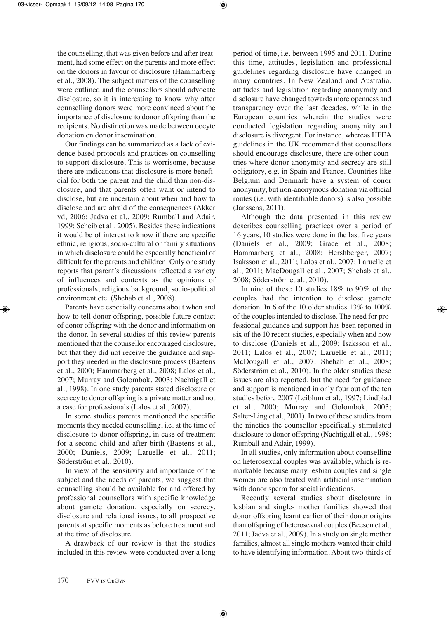the counselling, that was given before and after treatment, had some effect on the parents and more effect on the donors in favour of disclosure (Hammarberg et al., 2008). The subject matters of the counselling were outlined and the counsellors should advocate disclosure, so it is interesting to know why after counselling donors were more convinced about the importance of disclosure to donor offspring than the recipients. no distinction was made between oocyte donation en donor insemination.

Our findings can be summarized as a lack of evidence based protocols and practices on counselling to support disclosure. This is worrisome, because there are indications that disclosure is more beneficial for both the parent and the child than non-disclosure, and that parents often want or intend to disclose, but are uncertain about when and how to disclose and are afraid of the consequences (Akker vd, 2006; Jadva et al., 2009; Rumball and Adair, 1999; Scheib et al., 2005). Besides these indications it would be of interest to know if there are specific ethnic, religious, socio-cultural or family situations in which disclosure could be especially beneficial of difficult for the parents and children. Only one study reports that parent's discussions reflected a variety of influences and contexts as the opinions of professionals, religious background, socio-political environment etc. (Shehab et al., 2008).

Parents have especially concerns about when and how to tell donor offspring, possible future contact of donor offspring with the donor and information on the donor. in several studies of this review parents mentioned that the counsellor encouraged disclosure, but that they did not receive the guidance and support they needed in the disclosure process (Baetens et al., 2000; Hammarberg et al., 2008; Lalos et al., 2007; Murray and Golombok, 2003; Nachtigall et al., 1998). in one study parents stated disclosure or secrecy to donor offspring is a private matter and not a case for professionals (Lalos et al., 2007).

In some studies parents mentioned the specific moments they needed counselling, i.e. at the time of disclosure to donor offspring, in case of treatment for a second child and after birth (Baetens et al., 2000; Daniels, 2009; Laruelle et al., 2011; Söderström et al., 2010).

In view of the sensitivity and importance of the subject and the needs of parents, we suggest that counselling should be available for and offered by professional counsellors with specific knowledge about gamete donation, especially on secrecy, disclosure and relational issues, to all prospective parents at specific moments as before treatment and at the time of disclosure.

A drawback of our review is that the studies included in this review were conducted over a long period of time, i.e. between 1995 and 2011. During this time, attitudes, legislation and professional guidelines regarding disclosure have changed in many countries. In New Zealand and Australia, attitudes and legislation regarding anonymity and disclosure have changed towards more openness and transparency over the last decades, while in the European countries wherein the studies were conducted legislation regarding anonymity and disclosure is divergent. For instance, whereas HFeA guidelines in the UK recommend that counsellors should encourage disclosure, there are other countries where donor anonymity and secrecy are still obligatory, e.g. in Spain and France. Countries like Belgium and Denmark have a system of donor anonymity, but non-anonymous donation via official routes (i.e. with identifiable donors) is also possible (Janssens, 2011).

Although the data presented in this review describes counselling practices over a period of 16 years, 10 studies were done in the last five years (Daniels et al., 2009; Grace et al., 2008; Hammarberg et al., 2008; Hershberger, 2007; Isaksson et al., 2011; Lalos et al., 2007; Laruelle et al., 2011; MacDougall et al., 2007; Shehab et al., 2008; Söderström et al., 2010).

In nine of these 10 studies  $18\%$  to 90% of the couples had the intention to disclose gamete donation. In 6 of the 10 older studies  $13\%$  to  $100\%$ of the couples intended to disclose. The need for professional guidance and support has been reported in six of the 10 recent studies, especially when and how to disclose (Daniels et al., 2009; Isaksson et al., 2011; Lalos et al., 2007; Laruelle et al., 2011; McDougall et al., 2007; Shehab et al., 2008; Söderström et al., 2010). In the older studies these issues are also reported, but the need for guidance and support is mentioned in only four out of the ten studies before 2007 (Leiblum et al., 1997; Lindblad et al., 2000; Murray and Golombok, 2003; Salter-Ling et al., 2001). In two of these studies from the nineties the counsellor specifically stimulated disclosure to donor offspring (Nachtigall et al., 1998; Rumball and Adair, 1999).

In all studies, only information about counselling on heterosexual couples was available, which is remarkable because many lesbian couples and single women are also treated with artificial insemination with donor sperm for social indications.

Recently several studies about disclosure in lesbian and single- mother families showed that donor offspring learnt earlier of their donor origins than offspring of heterosexual couples (Beeson et al.,  $2011$ ; Jadva et al.,  $2009$ ). In a study on single mother families, almost all single mothers wanted their child to have identifying information. About two-thirds of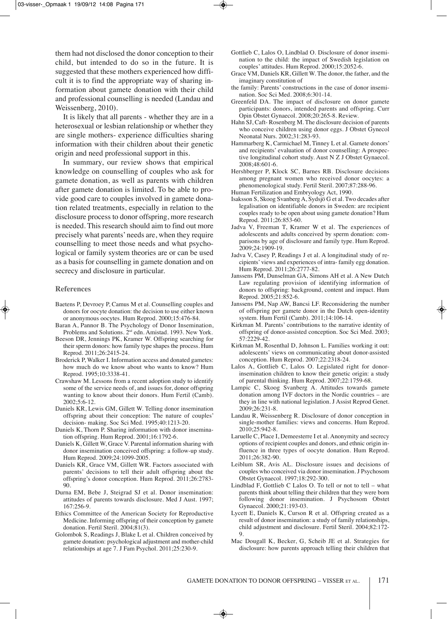them had not disclosed the donor conception to their child, but intended to do so in the future. It is suggested that these mothers experienced how difficult it is to find the appropriate way of sharing information about gamete donation with their child and professional counselling is needed (Landau and Weissenberg, 2010).

It is likely that all parents - whether they are in a heterosexual or lesbian relationship or whether they are single mothers- experience difficulties sharing information with their children about their genetic origin and need professional support in this.

In summary, our review shows that empirical knowledge on counselling of couples who ask for gamete donation, as well as parents with children after gamete donation is limited. To be able to provide good care to couples involved in gamete donation related treatments, especially in relation to the disclosure process to donor offspring, more research is needed. This research should aim to find out more precisely what parents' needs are, when they require counselling to meet those needs and what psychological or family system theories are or can be used as a basis for counselling in gamete donation and on secrecy and disclosure in particular.

#### **References**

- Baetens P, Devroey P, Camus M et al. Counselling couples and donors for oocyte donation: the decision to use either known or anonymous oocytes. Hum Reprod. 2000;15:476-84.
- Baran A, Pannor B. The Psychology of Donor Insemination, Problems and Solutions. 2<sup>nd</sup> edn. Amistad. 1993. New York.
- Beeson DR, Jennings PK, Kramer W. Offspring searching for their sperm donors: how family type shapes the process. Hum reprod. 2011;26:2415-24.
- Broderick P, Walker I. Information access and donated gametes: how much do we know about who wants to know? Hum reprod. 1995;10:3338-41.
- Crawshaw M. Lessons from a recent adoption study to identify some of the service needs of, and issues for, donor offspring wanting to know about their donors. Hum Fertil (Camb). 2002;5:6-12.
- Daniels KR, Lewis GM, Gillett W. Telling donor insemination offspring about their conception: The nature of couples' decision- making. Soc Sci Med. 1995;40:1213-20.
- Daniels K, Thorn P. Sharing information with donor insemination offspring. Hum Reprod. 2001;16:1792-6.
- Daniels K, Gillett W, Grace V. Parental information sharing with donor insemination conceived offspring: a follow-up study. Hum Reprod. 2009;24:1099-2005.
- Daniels KR, Grace VM, Gillett WR. Factors associated with parents' decisions to tell their adult offspring about the offspring's donor conception. Hum Reprod. 2011;26:2783-90.
- Durna EM, Bebe J, Steigrad SJ et al. Donor insemination: attitudes of parents towards disclosure. Med J Aust. 1997; 167:256-9.
- Ethics Committee of the American Society for Reproductive Medicine. Informing offspring of their conception by gamete donation. Fertil Steril. 2004;81(3).
- Golombok S, Readings J, Blake L et al. Children conceived by gamete donation: psychological adjustment and mother-child relationships at age 7. J Fam Psychol. 2011;25:230-9.
- Gottlieb C, Lalos O, Lindblad O. Disclosure of donor insemination to the child: the impact of Swedish legislation on couples' attitudes. Hum Reprod.  $2000:15:2052-6$ .
- Grace VM, Daniels KR, Gillett W. The donor, the father, and the imaginary constitution of
- the family: Parents' constructions in the case of donor insemination. Soc Sci Med. 2008;6:301-14.
- Greenfeld DA. The impact of disclosure on donor gamete participants: donors, intended parents and offspring. Curr Opin Obstet Gynaecol. 2008;20:265-8. Review.
- Hahn SJ, Caft-Rosenberg M. The disclosure decision of parents who conceive children using donor eggs. J Obstet Gynecol Neonatal Nurs. 2002;31:283-93.
- Hammarberg K, Carmichael M, Tinney L et al. Gamete donors' and recipients' evaluation of donor counselling: A prospective longitudinal cohort study. Aust N Z J Obstet Gynaecol. 2008;48:601-6.
- Hershberger P, Klock SC, Barnes RB. Disclosure decisions among pregnant women who received donor oocytes: a phenomenological study. Fertil Steril. 2007;87:288-96.
- Human Fertilization and Embryology Act, 1990.
- Isaksson S, Skoog Svanberg A, Sydsjö G et al. Two decades after legalisation on identifiable donors in Sweden: are recipient couples ready to be open about using gamete donation? Hum Reprod. 2011;26:853-60.
- Jadva V, Freeman T, Kramer W et al. The experiences of adolescents and adults conceived by sperm donation: comparisons by age of disclosure and family type. Hum Reprod. 2009;24:1909-19.
- Jadva V, Casey P, Readings J et al. A longitudinal study of recipients' views and experiences of intra- family egg donation. Hum Reprod. 2011;26:2777-82.
- Janssens PM, Dunselman GA, Simons AH et al. A New Dutch Law regulating provision of identifying information of donors to offspring: background, content and impact. Hum Reprod. 2005;21:852-6.
- Janssens PM, Nap AW, Bancsi LF. Reconsidering the number of offspring per gamete donor in the Dutch open-identity system. Hum Fertil (Camb). 2011;14:106-14.
- Kirkman M. Parents' contributions to the narrative identity of offspring of donor-assisted conception. Soc Sci Med. 2003; 57:2229-42.
- Kirkman M, Rosenthal D, Johnson L. Families working it out: adolescents' views on communicating about donor-assisted conception. Hum Reprod. 2007;22:2318-24.
- Lalos A, Gottlieb C, Lalos O. Legislated right for donorinsemination children to know their genetic origin: a study of parental thinking. Hum Reprod. 2007;22:1759-68.
- Lampic C, Skoog Svanberg A. Attitudes towards gamete donation among IVF doctors in the Nordic countries – are they in line with national legislation. J Assist Reprod Genet. 2009;26:231-8.
- Landau R, Weissenberg R. Disclosure of donor conception in single-mother families: views and concerns. Hum Reprod. 2010;25:942-8.
- Laruelle C, Place I, Demeesterre I et al. Anonymity and secrecy options of recipient couples and donors, and ethnic origin influence in three types of oocyte donation. Hum Reprod. 2011;26:382-90.
- Leiblum SR, Avis AL. Disclosure issues and decisions of couples who conceived via donor insemination. J Psychosom Obstet Gynaecol. 1997;18:292-300.
- Lindblad F, Gottlieb C Lalos O. To tell or not to tell what parents think about telling their children that they were born following donor insemination. J Psychosom Obstet Gynaecol. 2000;21:193-03.
- Lycett E, Daniels K, Curson R et al. Offspring created as a result of donor insemination: a study of family relationships, child adjustment and disclosure. Fertil Steril. 2004;82:172- 9.
- Mac Dougall K, Becker, G, Scheib JE et al. Strategies for disclosure: how parents approach telling their children that